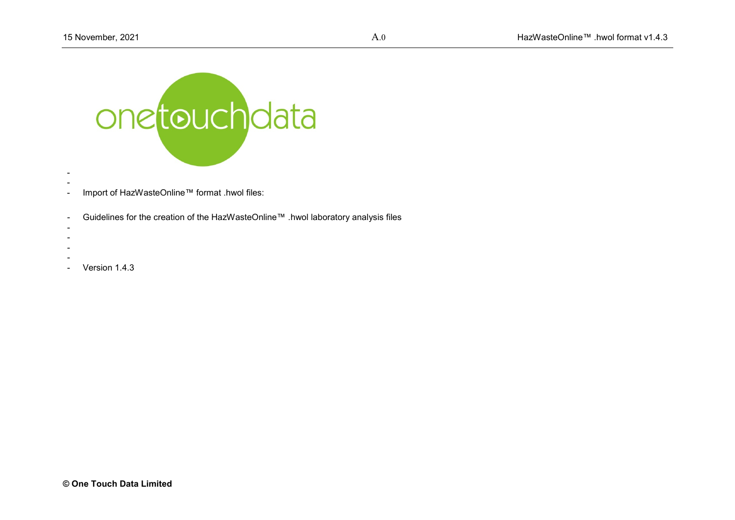

- -
- Import of HazWasteOnline™ format .hwol files:
- Guidelines for the creation of the HazWasteOnline™ .hwol laboratory analysis files
- -
- -
- -
- Version 1.4.3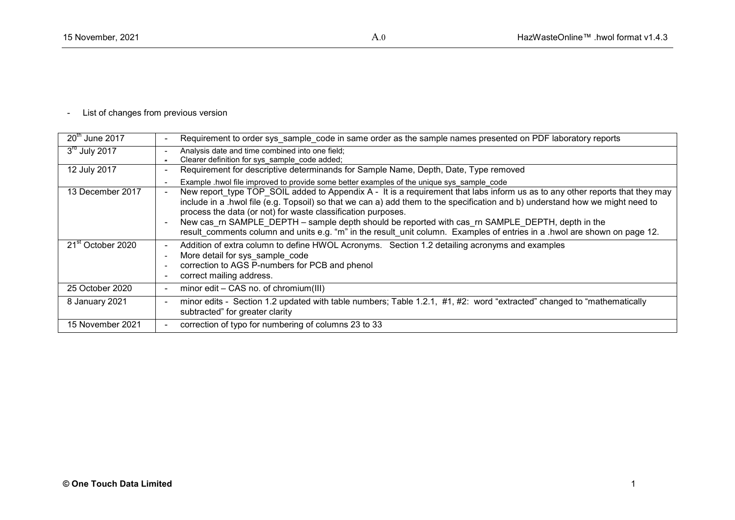# - List of changes from previous version

| $\overline{20}$ <sup>th</sup> June 2017 | Requirement to order sys sample code in same order as the sample names presented on PDF laboratory reports                                                                                                                                                                                                                                                                                                                                                                                                                                                                       |
|-----------------------------------------|----------------------------------------------------------------------------------------------------------------------------------------------------------------------------------------------------------------------------------------------------------------------------------------------------------------------------------------------------------------------------------------------------------------------------------------------------------------------------------------------------------------------------------------------------------------------------------|
| $3rd$ July 2017                         | Analysis date and time combined into one field;<br>Clearer definition for sys sample code added;<br>$\overline{\phantom{a}}$                                                                                                                                                                                                                                                                                                                                                                                                                                                     |
| 12 July 2017                            | Requirement for descriptive determinands for Sample Name, Depth, Date, Type removed<br>$\overline{\phantom{a}}$                                                                                                                                                                                                                                                                                                                                                                                                                                                                  |
|                                         | Example .hwol file improved to provide some better examples of the unique sys sample code<br>$\overline{\phantom{a}}$                                                                                                                                                                                                                                                                                                                                                                                                                                                            |
| 13 December 2017                        | New report type TOP SOIL added to Appendix A - It is a requirement that labs inform us as to any other reports that they may<br>$\blacksquare$<br>include in a .hwol file (e.g. Topsoil) so that we can a) add them to the specification and b) understand how we might need to<br>process the data (or not) for waste classification purposes.<br>New cas_rn SAMPLE_DEPTH - sample depth should be reported with cas_rn SAMPLE_DEPTH, depth in the<br>result comments column and units e.g. "m" in the result unit column. Examples of entries in a .hwol are shown on page 12. |
| 21 <sup>st</sup> October 2020           | Addition of extra column to define HWOL Acronyms. Section 1.2 detailing acronyms and examples<br>$\sim$<br>More detail for sys sample code<br>correction to AGS P-numbers for PCB and phenol<br>correct mailing address.                                                                                                                                                                                                                                                                                                                                                         |
| 25 October 2020                         | minor edit – CAS no. of chromium(III)                                                                                                                                                                                                                                                                                                                                                                                                                                                                                                                                            |
| 8 January 2021                          | minor edits - Section 1.2 updated with table numbers; Table 1.2.1, #1, #2: word "extracted" changed to "mathematically<br>subtracted" for greater clarity                                                                                                                                                                                                                                                                                                                                                                                                                        |
| 15 November 2021                        | correction of typo for numbering of columns 23 to 33                                                                                                                                                                                                                                                                                                                                                                                                                                                                                                                             |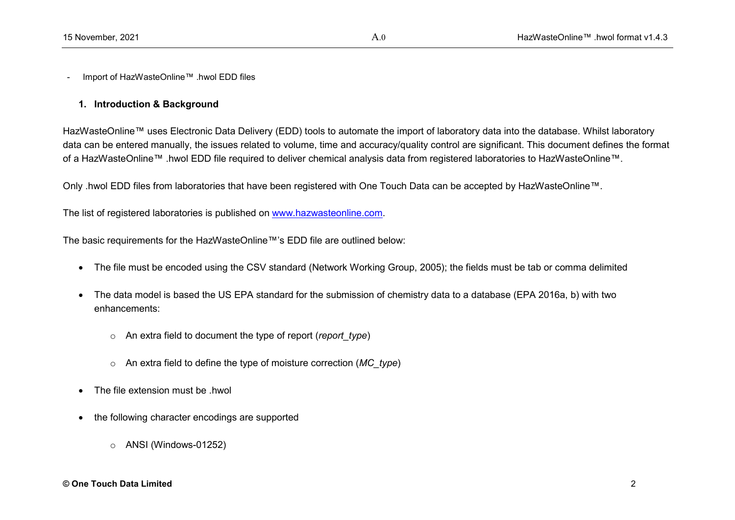- Import of HazWasteOnline™ .hwol EDD files

# **1. Introduction & Background**

HazWasteOnline™ uses Electronic Data Delivery (EDD) tools to automate the import of laboratory data into the database. Whilst laboratory data can be entered manually, the issues related to volume, time and accuracy/quality control are significant. This document defines the format of a HazWasteOnline™ .hwol EDD file required to deliver chemical analysis data from registered laboratories to HazWasteOnline™.

Only .hwol EDD files from laboratories that have been registered with One Touch Data can be accepted by HazWasteOnline™.

The list of registered laboratories is published on [www.hazwasteonline.com.](http://www.hazwasteonline.com/)

The basic requirements for the HazWasteOnline™'s EDD file are outlined below:

- The file must be encoded using the CSV standard (Network Working Group, 2005); the fields must be tab or comma delimited
- The data model is based the US EPA standard for the submission of chemistry data to a database (EPA 2016a, b) with two enhancements:
	- o An extra field to document the type of report (*report\_type*)
	- o An extra field to define the type of moisture correction (*MC\_type*)
- $\bullet$  The file extension must be hwol
- the following character encodings are supported
	- o ANSI (Windows-01252)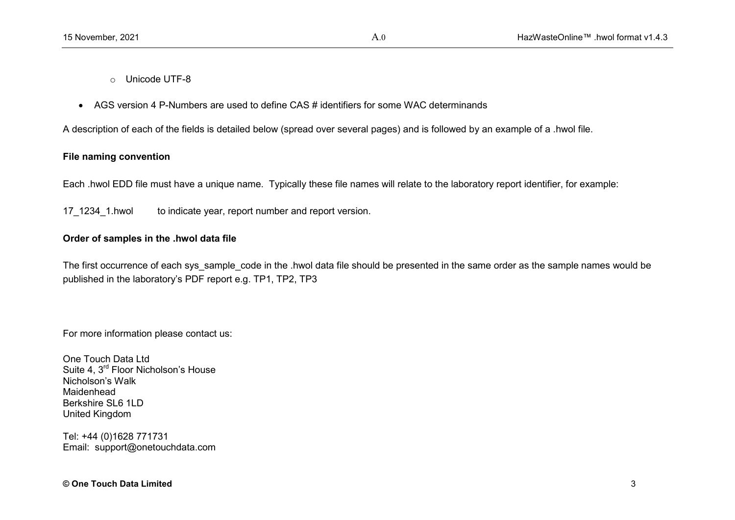- o Unicode UTF-8
- AGS version 4 P-Numbers are used to define CAS # identifiers for some WAC determinands

A description of each of the fields is detailed below (spread over several pages) and is followed by an example of a .hwol file.

# **File naming convention**

Each .hwol EDD file must have a unique name. Typically these file names will relate to the laboratory report identifier, for example:

17 1234 1.hwol to indicate year, report number and report version.

# **Order of samples in the .hwol data file**

The first occurrence of each sys sample code in the .hwol data file should be presented in the same order as the sample names would be published in the laboratory's PDF report e.g. TP1, TP2, TP3

For more information please contact us:

One Touch Data Ltd Suite 4, 3<sup>rd</sup> Floor Nicholson's House Nicholson's Walk Maidenhead Berkshire SL6 1LD United Kingdom

Tel: +44 (0)1628 771731 Email: support@onetouchdata.com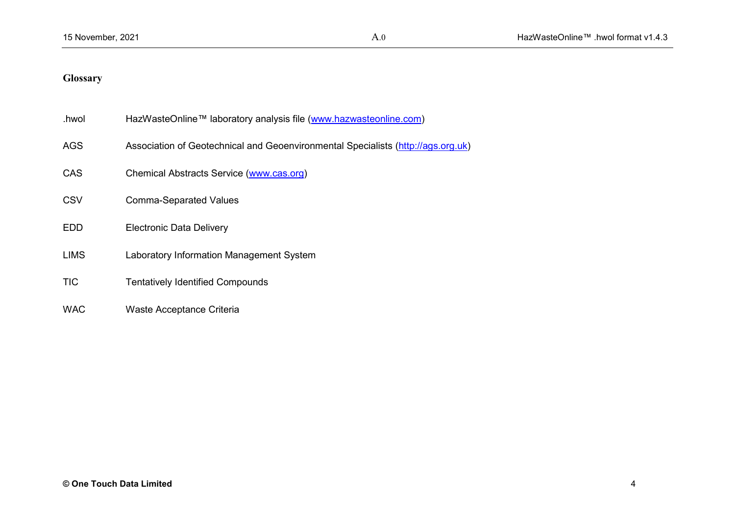# **Glossary**

| .hwol       | HazWasteOnline™ laboratory analysis file (www.hazwasteonline.com)                |
|-------------|----------------------------------------------------------------------------------|
| <b>AGS</b>  | Association of Geotechnical and Geoenvironmental Specialists (http://ags.org.uk) |
| <b>CAS</b>  | Chemical Abstracts Service (www.cas.org)                                         |
| <b>CSV</b>  | <b>Comma-Separated Values</b>                                                    |
| <b>EDD</b>  | <b>Electronic Data Delivery</b>                                                  |
| <b>LIMS</b> | Laboratory Information Management System                                         |
| <b>TIC</b>  | <b>Tentatively Identified Compounds</b>                                          |
|             |                                                                                  |

WAC Waste Acceptance Criteria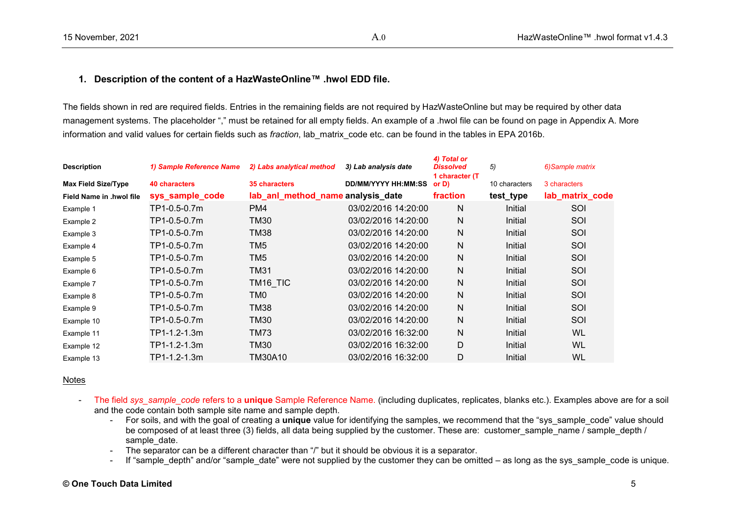# **1. Description of the content of a HazWasteOnline™ .hwol EDD file.**

The fields shown in red are required fields. Entries in the remaining fields are not required by HazWasteOnline but may be required by other data management systems. The placeholder "," must be retained for all empty fields. An example of a .hwol file can be found on page in Appendix A. More information and valid values for certain fields such as *fraction*, lab\_matrix\_code etc. can be found in the tables in EPA 2016b.

| <b>Description</b>         | 1) Sample Reference Name | 2) Labs analytical method         | 3) Lab analysis date       | 4) Total or<br><b>Dissolved</b><br>1 character (T) | 5)            | 6) Sample matrix |
|----------------------------|--------------------------|-----------------------------------|----------------------------|----------------------------------------------------|---------------|------------------|
| <b>Max Field Size/Type</b> | 40 characters            | 35 characters                     | <b>DD/MM/YYYY HH:MM:SS</b> | or D)                                              | 10 characters | 3 characters     |
| Field Name in .hwol file   | sys_sample_code          | lab_anl_method_name analysis_date |                            | fraction                                           | test_type     | lab_matrix_code  |
| Example 1                  | TP1-0.5-0.7m             | PM4                               | 03/02/2016 14:20:00        | N                                                  | Initial       | SOI              |
| Example 2                  | TP1-0.5-0.7m             | TM30                              | 03/02/2016 14:20:00        | N                                                  | Initial       | SOI              |
| Example 3                  | TP1-0.5-0.7m             | TM38                              | 03/02/2016 14:20:00        | N                                                  | Initial       | SOI              |
| Example 4                  | TP1-0.5-0.7m             | TM5                               | 03/02/2016 14:20:00        | N                                                  | Initial       | SOI              |
| Example 5                  | TP1-0.5-0.7m             | TM <sub>5</sub>                   | 03/02/2016 14:20:00        | N                                                  | Initial       | SOI              |
| Example 6                  | TP1-0.5-0.7m             | TM31                              | 03/02/2016 14:20:00        | N                                                  | Initial       | SOI              |
| Example 7                  | TP1-0.5-0.7m             | TM16 TIC                          | 03/02/2016 14:20:00        | N                                                  | Initial       | SOI              |
| Example 8                  | TP1-0.5-0.7m             | TM0                               | 03/02/2016 14:20:00        | N                                                  | Initial       | SOI              |
| Example 9                  | TP1-0.5-0.7m             | TM38                              | 03/02/2016 14:20:00        | $\mathsf{N}$                                       | Initial       | SOI              |
| Example 10                 | TP1-0.5-0.7m             | TM30                              | 03/02/2016 14:20:00        | N                                                  | Initial       | SOI              |
| Example 11                 | TP1-1.2-1.3m             | <b>TM73</b>                       | 03/02/2016 16:32:00        | $\mathsf{N}$                                       | Initial       | WL               |
| Example 12                 | TP1-1.2-1.3m             | TM30                              | 03/02/2016 16:32:00        | D                                                  | Initial       | WL               |
| Example 13                 | TP1-1.2-1.3m             | TM30A10                           | 03/02/2016 16:32:00        | D                                                  | Initial       | <b>WL</b>        |

#### Notes

- The field *sys\_sample\_code* refers to a *unique* Sample Reference Name. (including duplicates, replicates, blanks etc.). Examples above are for a soil and the code contain both sample site name and sample depth.
	- For soils, and with the goal of creating a **unique** value for identifying the samples, we recommend that the "sys\_sample\_code" value should be composed of at least three (3) fields, all data being supplied by the customer. These are: customer sample name / sample depth / sample date.
	- The separator can be a different character than "/" but it should be obvious it is a separator.
	- If "sample depth" and/or "sample date" were not supplied by the customer they can be omitted as long as the sys sample code is unique.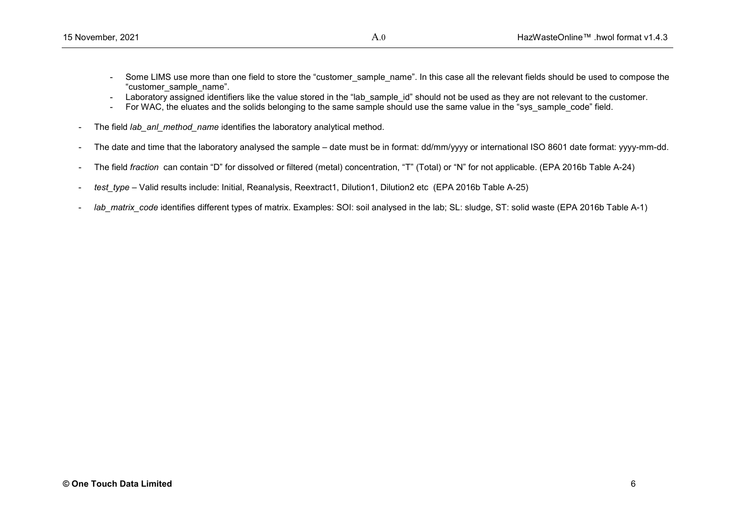- Some LIMS use more than one field to store the "customer sample name". In this case all the relevant fields should be used to compose the "customer\_sample\_name".
- Laboratory assigned identifiers like the value stored in the "lab sample id" should not be used as they are not relevant to the customer.
- For WAC, the eluates and the solids belonging to the same sample should use the same value in the "sys\_sample\_code" field.
- The field *lab\_anl\_method\_name* identifies the laboratory analytical method.
- The date and time that the laboratory analysed the sample date must be in format: dd/mm/yyyy or international ISO 8601 date format: yyyy-mm-dd.
- The field *fraction* can contain "D" for dissolved or filtered (metal) concentration, "T" (Total) or "N" for not applicable. (EPA 2016b Table A-24)
- *test\_type* Valid results include: Initial, Reanalysis, Reextract1, Dilution1, Dilution2 etc (EPA 2016b Table A-25)
- lab matrix code identifies different types of matrix. Examples: SOI: soil analysed in the lab; SL: sludge, ST; solid waste (EPA 2016b Table A-1)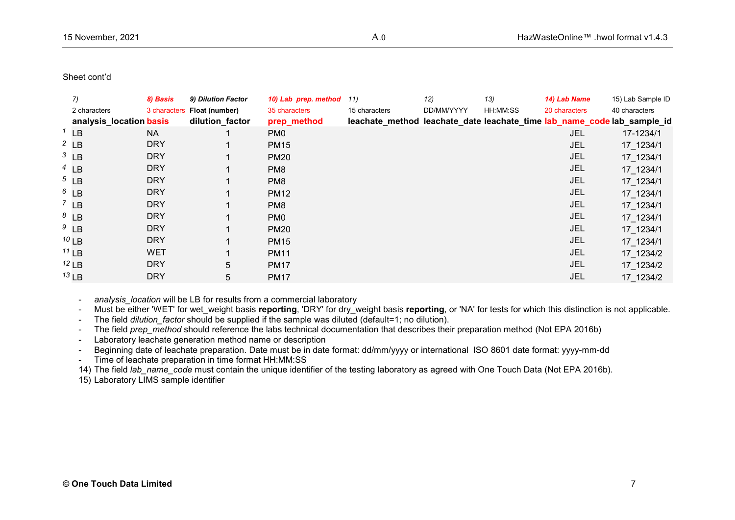| $\overline{7}$          | 8) Basis     | 9) Dilution Factor |   | 10) Lab prep. method | 11)           | 12)        | 13)      | 14) Lab Name  | 15) Lab Sample ID                                                       |
|-------------------------|--------------|--------------------|---|----------------------|---------------|------------|----------|---------------|-------------------------------------------------------------------------|
| 2 characters            | 3 characters | Float (number)     |   | 35 characters        | 15 characters | DD/MM/YYYY | HH:MM:SS | 20 characters | 40 characters                                                           |
| analysis_location basis |              | dilution_factor    |   | prep_method          |               |            |          |               | leachate_method leachate_date leachate_time lab_name_code lab_sample_id |
| $1$ LB                  | NA.          |                    |   | PM <sub>0</sub>      |               |            |          | JEL           | 17-1234/1                                                               |
| $2$ LB                  | <b>DRY</b>   |                    |   | <b>PM15</b>          |               |            |          | <b>JEL</b>    | 17 1234/1                                                               |
| $3$ LB                  | <b>DRY</b>   |                    |   | <b>PM20</b>          |               |            |          | <b>JEL</b>    | 17_1234/1                                                               |
| $4$ LB                  | <b>DRY</b>   |                    |   | PM <sub>8</sub>      |               |            |          | <b>JEL</b>    | 17_1234/1                                                               |
| $5$ LB                  | <b>DRY</b>   |                    |   | PM <sub>8</sub>      |               |            |          | JEL           | 17 1234/1                                                               |
| $6$ LB                  | <b>DRY</b>   |                    |   | <b>PM12</b>          |               |            |          | <b>JEL</b>    | 17_1234/1                                                               |
| $7$ LB                  | <b>DRY</b>   |                    |   | PM <sub>8</sub>      |               |            |          | <b>JEL</b>    | 17_1234/1                                                               |
| $8$ LB                  | <b>DRY</b>   |                    |   | PM <sub>0</sub>      |               |            |          | <b>JEL</b>    | 17 1234/1                                                               |
| $9$ LB                  | <b>DRY</b>   |                    |   | <b>PM20</b>          |               |            |          | <b>JEL</b>    | 17_1234/1                                                               |
| $10$ LB                 | <b>DRY</b>   |                    |   | <b>PM15</b>          |               |            |          | <b>JEL</b>    | 17_1234/1                                                               |
| $11$ LB                 | <b>WET</b>   |                    |   | <b>PM11</b>          |               |            |          | <b>JEL</b>    | 17_1234/2                                                               |
| $12$ LB                 | <b>DRY</b>   |                    | 5 | <b>PM17</b>          |               |            |          | <b>JEL</b>    | 17_1234/2                                                               |
| $13$ LB                 | <b>DRY</b>   |                    | 5 | <b>PM17</b>          |               |            |          | <b>JEL</b>    | 17 1234/2                                                               |
|                         |              |                    |   |                      |               |            |          |               |                                                                         |

analysis location will be LB for results from a commercial laboratory

- Must be either 'WET' for wet weight basis **reporting**, 'DRY' for dry\_weight basis reporting, or 'NA' for tests for which this distinction is not applicable.

- The field *dilution factor* should be supplied if the sample was diluted (default=1; no dilution).
- The field *prep\_method* should reference the labs technical documentation that describes their preparation method (Not EPA 2016b)
- Laboratory leachate generation method name or description
- Beginning date of leachate preparation. Date must be in date format: dd/mm/yyyy or international ISO 8601 date format: yyyy-mm-dd
- Time of leachate preparation in time format HH:MM:SS

14) The field *lab name* code must contain the unique identifier of the testing laboratory as agreed with One Touch Data (Not EPA 2016b).

15) Laboratory LIMS sample identifier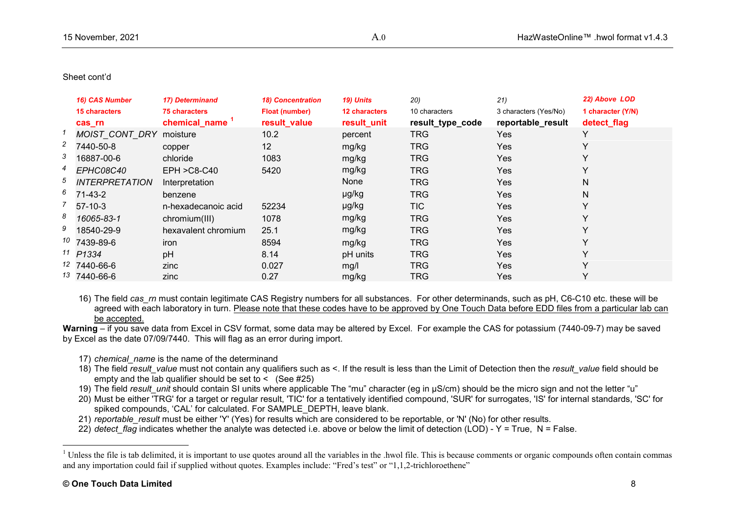<span id="page-8-0"></span>

|                | 16) CAS Number<br><b>15 characters</b><br>cas rn | 17) Determinand<br><b>75 characters</b><br>chemical_name | <b>18) Concentration</b><br><b>Float (number)</b><br>result_value | 19) Units<br><b>12 characters</b><br>result_unit | 20)<br>10 characters<br>result_type_code | 21)<br>3 characters (Yes/No)<br>reportable_result | 22) Above LOD<br>1 character (Y/N)<br>detect_flag |
|----------------|--------------------------------------------------|----------------------------------------------------------|-------------------------------------------------------------------|--------------------------------------------------|------------------------------------------|---------------------------------------------------|---------------------------------------------------|
|                | MOIST_CONT_DRY                                   | moisture                                                 | 10.2                                                              | percent                                          | <b>TRG</b>                               | Yes                                               |                                                   |
| $\overline{c}$ | 7440-50-8                                        | copper                                                   | 12                                                                | mg/kg                                            | <b>TRG</b>                               | <b>Yes</b>                                        |                                                   |
| 3              | 16887-00-6                                       | chloride                                                 | 1083                                                              | mg/kg                                            | <b>TRG</b>                               | <b>Yes</b>                                        |                                                   |
| 4              | <b>EPHC08C40</b>                                 | $EPH > C8-C40$                                           | 5420                                                              | mg/kg                                            | <b>TRG</b>                               | Yes                                               |                                                   |
| 5              | <b>INTERPRETATION</b>                            | Interpretation                                           |                                                                   | None                                             | <b>TRG</b>                               | <b>Yes</b>                                        | N                                                 |
|                | $6$ 71-43-2                                      | benzene                                                  |                                                                   | µg/kg                                            | <b>TRG</b>                               | <b>Yes</b>                                        | N                                                 |
|                | $57-10-3$                                        | n-hexadecanoic acid                                      | 52234                                                             | µg/kg                                            | <b>TIC</b>                               | <b>Yes</b>                                        |                                                   |
| 8              | 16065-83-1                                       | chromium(III)                                            | 1078                                                              | mg/kg                                            | <b>TRG</b>                               | Yes                                               |                                                   |
| 9              | 18540-29-9                                       | hexavalent chromium                                      | 25.1                                                              | mg/kg                                            | <b>TRG</b>                               | <b>Yes</b>                                        |                                                   |
|                | <sup>10</sup> 7439-89-6                          | iron                                                     | 8594                                                              | mg/kg                                            | <b>TRG</b>                               | <b>Yes</b>                                        |                                                   |
|                | $11$ P1334                                       | pH                                                       | 8.14                                                              | pH units                                         | <b>TRG</b>                               | <b>Yes</b>                                        |                                                   |
|                | 12 7440-66-6                                     | zinc                                                     | 0.027                                                             | mg/l                                             | <b>TRG</b>                               | <b>Yes</b>                                        |                                                   |
|                | 13 7440-66-6                                     | zinc                                                     | 0.27                                                              | mg/kg                                            | <b>TRG</b>                               | <b>Yes</b>                                        |                                                   |

16) The field *cas rn* must contain legitimate CAS Registry numbers for all substances. For other determinands, such as pH, C6-C10 etc. these will be agreed with each laboratory in turn. Please note that these codes have to be approved by One Touch Data before EDD files from a particular lab can be accepted.

**Warning** – if you save data from Excel in CSV format, some data may be altered by Excel. For example the CAS for potassium (7440-09-7) may be saved by Excel as the date 07/09/7440. This will flag as an error during import.

- 17) *chemical\_name* is the name of the determinand
- 18) The field *result value* must not contain any qualifiers such as <. If the result is less than the Limit of Detection then the *result value* field should be empty and the lab qualifier should be set to  $\leq$  (See #25)
- 19) The field *result unit* should contain SI units where applicable The "mu" character (eg in µS/cm) should be the micro sign and not the letter "u"
- 20) Must be either 'TRG' for a target or regular result, 'TIC' for a tentatively identified compound, 'SUR' for surrogates, 'IS' for internal standards, 'SC' for spiked compounds, 'CAL' for calculated. For SAMPLE\_DEPTH, leave blank.
- 21) *reportable\_result* must be either 'Y' (Yes) for results which are considered to be reportable, or 'N' (No) for other results.
- 22) *detect flag* indicates whether the analyte was detected i.e. above or below the limit of detection (LOD) Y = True, N = False.

<sup>&</sup>lt;sup>1</sup> Unless the file is tab delimited, it is important to use quotes around all the variables in the .hwol file. This is because comments or organic compounds often contain commas and any importation could fail if supplied without quotes. Examples include: "Fred's test" or "1,1,2-trichloroethene"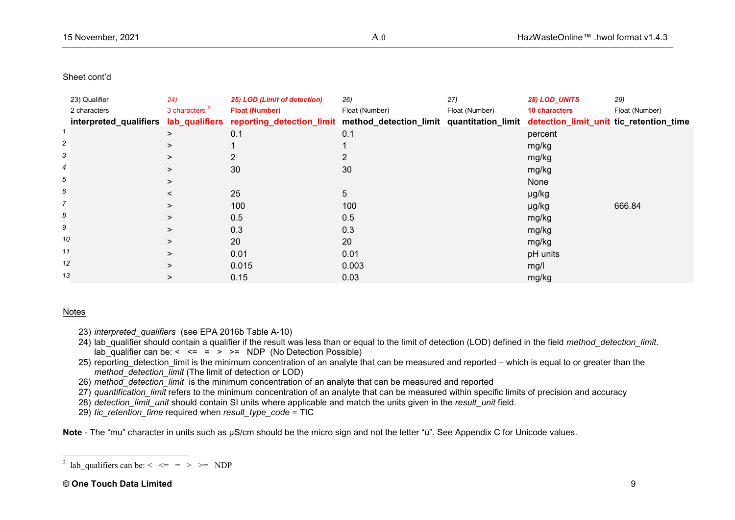<span id="page-9-0"></span>

|                | 23) Qualifier | (24)             | 25) LOD (Limit of detection)                                                                                                                      | 26)            | 27)            | 28) LOD_UNITS | 29)            |
|----------------|---------------|------------------|---------------------------------------------------------------------------------------------------------------------------------------------------|----------------|----------------|---------------|----------------|
|                | 2 characters  | 3 characters $2$ | <b>Float (Number)</b>                                                                                                                             | Float (Number) | Float (Number) | 10 characters | Float (Number) |
|                |               |                  | interpreted_qualifiers lab_qualifiers reporting_detection_limit method_detection_limit quantitation_limit detection_limit_unit tic_retention_time |                |                |               |                |
|                |               | ⋗                | 0.1                                                                                                                                               | 0.1            |                | percent       |                |
| $\overline{c}$ |               | ⋗                |                                                                                                                                                   |                |                | mg/kg         |                |
| 3              |               | >                |                                                                                                                                                   |                |                | mg/kg         |                |
| 4              |               | >                | 30                                                                                                                                                | 30             |                | mg/kg         |                |
| 5              |               | >                |                                                                                                                                                   |                |                | None          |                |
| 6              |               |                  | 25                                                                                                                                                | 5              |                | µg/kg         |                |
| $\overline{7}$ |               | $\geq$           | 100                                                                                                                                               | 100            |                | µg/kg         | 666.84         |
| 8              |               | ⋗                | 0.5                                                                                                                                               | 0.5            |                | mg/kg         |                |
| 9              |               | $\geq$           | 0.3                                                                                                                                               | 0.3            |                | mg/kg         |                |
| 10             |               | $\geq$           | 20                                                                                                                                                | 20             |                | mg/kg         |                |
| 11             |               | >                | 0.01                                                                                                                                              | 0.01           |                | pH units      |                |
| 12             |               | ⋗                | 0.015                                                                                                                                             | 0.003          |                | mg/l          |                |
| 13             |               | $\geq$           | 0.15                                                                                                                                              | 0.03           |                | mg/kg         |                |
|                |               |                  |                                                                                                                                                   |                |                |               |                |

## Notes

- 23) *interpreted\_qualifiers* (see EPA 2016b Table A-10)
- 24) lab qualifier should contain a qualifier if the result was less than or equal to the limit of detection (LOD) defined in the field *method* detection limit.  $\overline{\phantom{a}}$  lab<sup>-</sup>qualifier can be: < <= =  $\overline{\phantom{a}}$  > >= NDP (No Detection Possible)
- 25) reporting detection limit is the minimum concentration of an analyte that can be measured and reported which is equal to or greater than the *method* detection  $\overline{limit}$  (The limit of detection or LOD)
- 26) *method\_detection\_limit* is the minimum concentration of an analyte that can be measured and reported
- 27) *quantification\_limit* refers to the minimum concentration of an analyte that can be measured within specific limits of precision and accuracy
- 28) *detection\_limit\_unit* should contain SI units where applicable and match the units given in the *result\_unit* field.
- 29) *tic\_retention\_time* required when *result\_type\_code* = TIC

**Note** - The "mu" character in units such as µS/cm should be the micro sign and not the letter "u". See Appendix C for Unicode values.

 $\frac{1}{2}$ <sup>2</sup> lab qualifiers can be:  $\lt \lt =$  = > > = NDP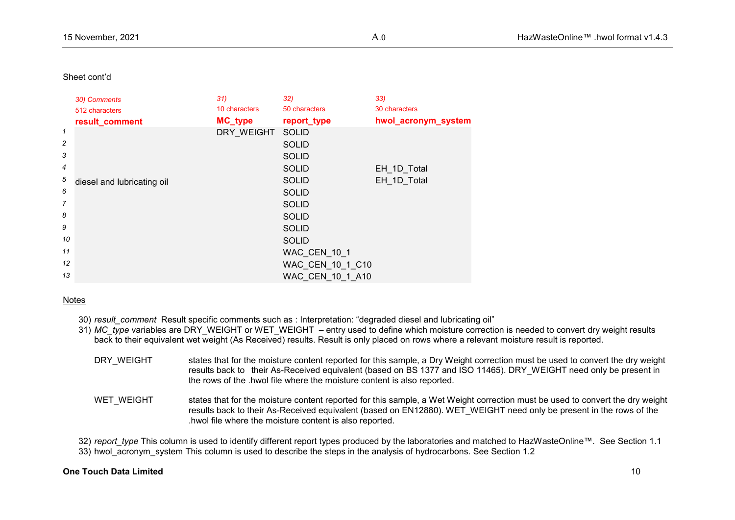|                | 30) Comments               | 31)            | 32)              | 33)                 |
|----------------|----------------------------|----------------|------------------|---------------------|
|                | 512 characters             | 10 characters  | 50 characters    | 30 characters       |
|                | result_comment             | <b>MC_type</b> | report_type      | hwol_acronym_system |
| 1              |                            | DRY WEIGHT     | <b>SOLID</b>     |                     |
| $\overline{c}$ |                            |                | <b>SOLID</b>     |                     |
| 3              |                            |                | <b>SOLID</b>     |                     |
| $\overline{4}$ |                            |                | <b>SOLID</b>     | EH_1D_Total         |
| 5              | diesel and lubricating oil |                | <b>SOLID</b>     | EH 1D Total         |
| 6              |                            |                | <b>SOLID</b>     |                     |
| $\overline{7}$ |                            |                | <b>SOLID</b>     |                     |
| 8              |                            |                | <b>SOLID</b>     |                     |
| 9              |                            |                | <b>SOLID</b>     |                     |
| 10             |                            |                | <b>SOLID</b>     |                     |
| 11             |                            |                | WAC_CEN_10_1     |                     |
| 12             |                            |                | WAC_CEN_10_1_C10 |                     |
| 13             |                            |                | WAC CEN 10 1 A10 |                     |

#### Notes

- 30) *result\_comment* Result specific comments such as : Interpretation: "degraded diesel and lubricating oil"
- 31) *MC* type variables are DRY WEIGHT or WET WEIGHT entry used to define which moisture correction is needed to convert dry weight results back to their equivalent wet weight (As Received) results. Result is only placed on rows where a relevant moisture result is reported.
	- DRY\_WEIGHT states that for the moisture content reported for this sample, a Dry Weight correction must be used to convert the dry weight results back to their As-Received equivalent (based on BS 1377 and ISO 11465). DRY\_WEIGHT need only be present in the rows of the .hwol file where the moisture content is also reported.
	- WET\_WEIGHT states that for the moisture content reported for this sample, a Wet Weight correction must be used to convert the dry weight results back to their As-Received equivalent (based on EN12880). WET\_WEIGHT need only be present in the rows of the .hwol file where the moisture content is also reported.

32) *report* type This column is used to identify different report types produced by the laboratories and matched to HazWasteOnline™. See Section 1.1 33) hwol\_acronym\_system This column is used to describe the steps in the analysis of hydrocarbons. See Section 1.2

#### **One Touch Data Limited** 10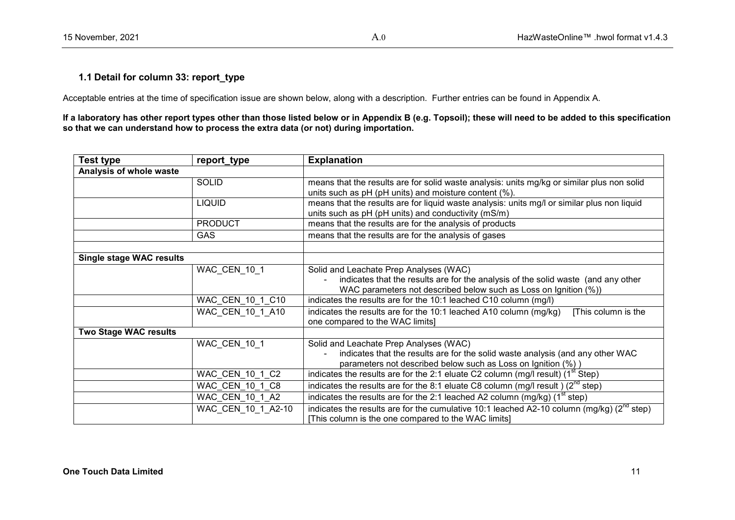# **1.1 Detail for column 33: report\_type**

Acceptable entries at the time of specification issue are shown below, along with a description. Further entries can be found in Appendix A.

**If a laboratory has other report types other than those listed below or in Appendix B (e.g. Topsoil); these will need to be added to this specification so that we can understand how to process the extra data (or not) during importation.**

| <b>Test type</b>                | report_type        | <b>Explanation</b>                                                                                                                                     |
|---------------------------------|--------------------|--------------------------------------------------------------------------------------------------------------------------------------------------------|
| Analysis of whole waste         |                    |                                                                                                                                                        |
|                                 | <b>SOLID</b>       | means that the results are for solid waste analysis: units mg/kg or similar plus non solid<br>units such as pH (pH units) and moisture content (%).    |
|                                 | <b>LIQUID</b>      | means that the results are for liquid waste analysis: units mg/l or similar plus non liquid<br>units such as pH (pH units) and conductivity (mS/m)     |
|                                 | <b>PRODUCT</b>     | means that the results are for the analysis of products                                                                                                |
|                                 | <b>GAS</b>         | means that the results are for the analysis of gases                                                                                                   |
|                                 |                    |                                                                                                                                                        |
| <b>Single stage WAC results</b> |                    |                                                                                                                                                        |
|                                 | WAC CEN 10 1       | Solid and Leachate Prep Analyses (WAC)                                                                                                                 |
|                                 |                    | indicates that the results are for the analysis of the solid waste (and any other<br>WAC parameters not described below such as Loss on Ignition (%))  |
|                                 | WAC CEN 10 1 C10   | indicates the results are for the 10:1 leached C10 column (mg/l)                                                                                       |
|                                 | WAC CEN 10 1 A10   | indicates the results are for the 10:1 leached A10 column (mg/kg)<br>[This column is the<br>one compared to the WAC limits]                            |
| <b>Two Stage WAC results</b>    |                    |                                                                                                                                                        |
|                                 | WAC_CEN_10_1       | Solid and Leachate Prep Analyses (WAC)                                                                                                                 |
|                                 |                    | indicates that the results are for the solid waste analysis (and any other WAC                                                                         |
|                                 |                    | parameters not described below such as Loss on Ignition (%))                                                                                           |
|                                 | WAC CEN 10 1 C2    | indicates the results are for the 2:1 eluate C2 column (mg/l result) $(1st Step)$                                                                      |
|                                 | WAC CEN 10 1 C8    | indicates the results are for the 8:1 eluate C8 column (mg/l result) $(2^{nd}$ step)                                                                   |
|                                 | WAC CEN 10 1 A2    | indicates the results are for the 2:1 leached A2 column $(mg/kg)$ (1 <sup>st</sup> step)                                                               |
|                                 | WAC CEN 10 1 A2-10 | indicates the results are for the cumulative 10:1 leached A2-10 column (mg/kg) ( $2^{nd}$ step)<br>[This column is the one compared to the WAC limits] |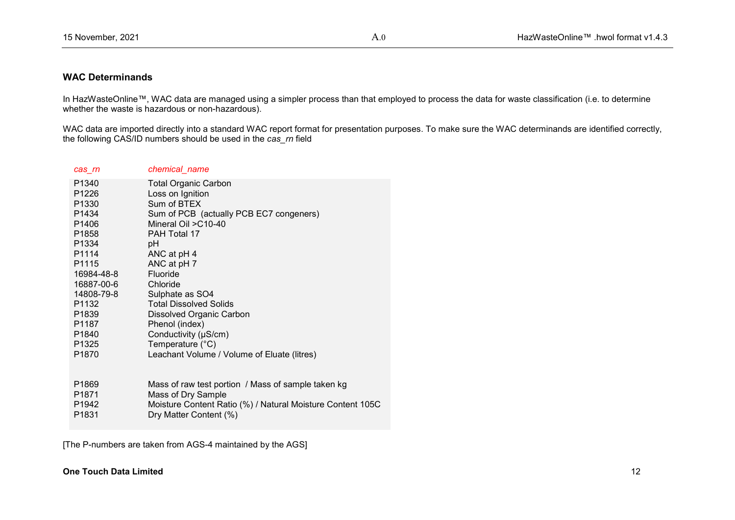# **WAC Determinands**

In HazWasteOnline™, WAC data are managed using a simpler process than that employed to process the data for waste classification (i.e. to determine whether the waste is hazardous or non-hazardous).

WAC data are imported directly into a standard WAC report format for presentation purposes. To make sure the WAC determinands are identified correctly, the following CAS/ID numbers should be used in the *cas\_rn* field

| cas_rn            | chemical_name                                              |
|-------------------|------------------------------------------------------------|
| P <sub>1340</sub> | <b>Total Organic Carbon</b>                                |
| P1226             | Loss on Ignition                                           |
| P <sub>1330</sub> | Sum of BTEX                                                |
| P <sub>1434</sub> | Sum of PCB (actually PCB EC7 congeners)                    |
| P <sub>1406</sub> | Mineral Oil > C10-40                                       |
| P <sub>1858</sub> | PAH Total 17                                               |
| P1334             | рH                                                         |
| P <sub>1114</sub> | ANC at pH 4                                                |
| P <sub>1115</sub> | ANC at pH 7                                                |
| 16984-48-8        | Fluoride                                                   |
| 16887-00-6        | Chloride                                                   |
| 14808-79-8        | Sulphate as SO4                                            |
| P <sub>1132</sub> | <b>Total Dissolved Solids</b>                              |
| P <sub>1839</sub> | Dissolved Organic Carbon                                   |
| P <sub>1187</sub> | Phenol (index)                                             |
| P <sub>1840</sub> | Conductivity (µS/cm)                                       |
| P <sub>1325</sub> | Temperature $(^{\circ}C)$                                  |
| P <sub>1870</sub> | Leachant Volume / Volume of Eluate (litres)                |
|                   |                                                            |
|                   |                                                            |
| P <sub>1869</sub> | Mass of raw test portion / Mass of sample taken kg         |
| P <sub>1871</sub> | Mass of Dry Sample                                         |
| P <sub>1942</sub> | Moisture Content Ratio (%) / Natural Moisture Content 105C |
| P <sub>1831</sub> | Dry Matter Content (%)                                     |

[The P-numbers are taken from AGS-4 maintained by the AGS]

# **One Touch Data Limited** 12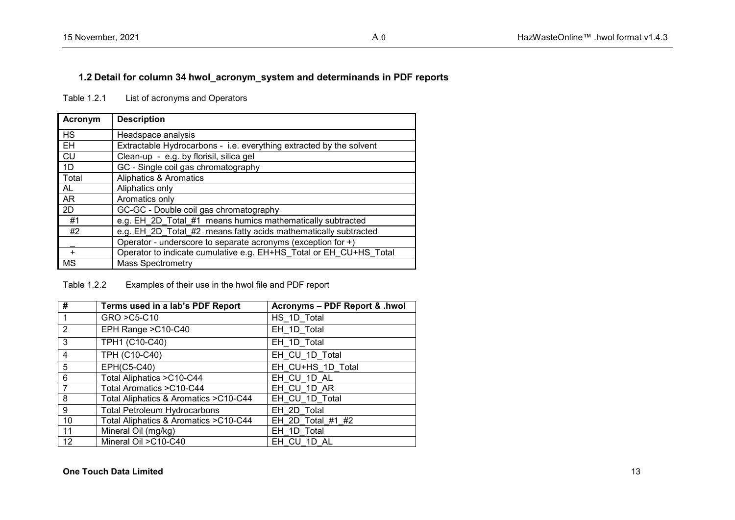# **1.2 Detail for column 34 hwol\_acronym\_system and determinands in PDF reports**

Table 1.2.1 List of acronyms and Operators

| Acronym   | <b>Description</b>                                                  |  |  |
|-----------|---------------------------------------------------------------------|--|--|
| <b>HS</b> | Headspace analysis                                                  |  |  |
| EH        | Extractable Hydrocarbons - i.e. everything extracted by the solvent |  |  |
| CU        | Clean-up - e.g. by florisil, silica gel                             |  |  |
| 1D        | GC - Single coil gas chromatography                                 |  |  |
| Total     | Aliphatics & Aromatics                                              |  |  |
| <b>AL</b> | Aliphatics only                                                     |  |  |
| AR        | Aromatics only                                                      |  |  |
| 2D        | GC-GC - Double coil gas chromatography                              |  |  |
| #1        | e.g. EH_2D_Total_#1_means humics mathematically subtracted          |  |  |
| #2        | e.g. EH 2D Total #2 means fatty acids mathematically subtracted     |  |  |
|           | Operator - underscore to separate acronyms (exception for +)        |  |  |
| ÷         | Operator to indicate cumulative e.g. EH+HS_Total or EH_CU+HS_Total  |  |  |
| <b>MS</b> | <b>Mass Spectrometry</b>                                            |  |  |

Table 1.2.2 Examples of their use in the hwol file and PDF report

| #              | Terms used in a lab's PDF Report       | Acronyms - PDF Report & .hwol |
|----------------|----------------------------------------|-------------------------------|
|                | GRO > C5-C10                           | HS 1D Total                   |
| $\overline{2}$ | EPH Range > C10-C40                    | EH 1D Total                   |
| 3              | TPH1 (C10-C40)                         | EH_1D_Total                   |
| $\overline{4}$ | TPH (C10-C40)                          | EH CU 1D Total                |
| 5              | <b>EPH(C5-C40)</b>                     | EH CU+HS 1D Total             |
| 6              | Total Aliphatics > C10-C44             | EH CU 1D AL                   |
| $\overline{7}$ | Total Aromatics > C10-C44              | EH CU 1D AR                   |
| 8              | Total Aliphatics & Aromatics > C10-C44 | EH_CU_1D_Total                |
| 9              | <b>Total Petroleum Hydrocarbons</b>    | EH 2D Total                   |
| 10             | Total Aliphatics & Aromatics > C10-C44 | EH 2D Total #1 #2             |
| 11             | Mineral Oil (mg/kg)                    | EH 1D Total                   |
| 12             | Mineral Oil > C10-C40                  | EH CU 1D AL                   |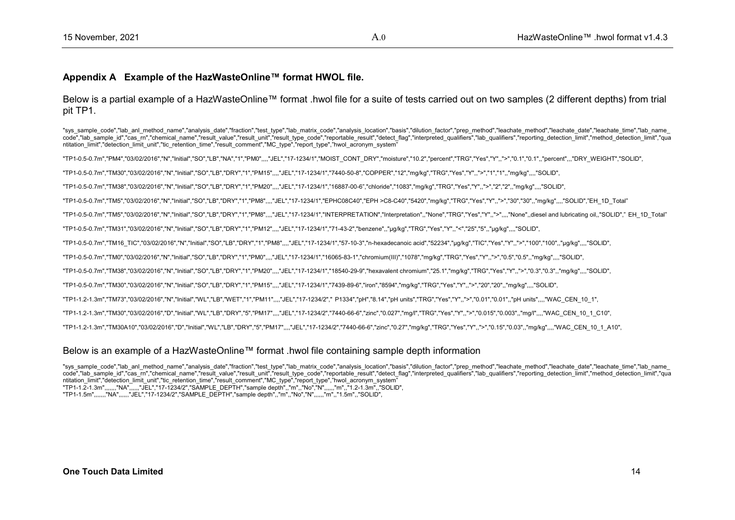### **Appendix A Example of the HazWasteOnline™ format HWOL file.**

Below is a partial example of a HazWasteOnline™ format .hwol file for a suite of tests carried out on two samples (2 different depths) from trial pit TP1.

"sys\_sample\_code","lab\_anl\_method\_name","analysis\_date","fraction","test\_type","lab\_matrix\_code","analysis\_location","basis","dilution\_factor","prep\_method","leachate\_method","leachate\_date","leachate\_time","lab\_name\_ code","lab sample id","cas m","chemical name","result value","result unit","result type code","reportable result","detect flag","interpreted qualifiers","lab qualifiers","reporting detection limit","method detection limit" ntitation\_limit","detection\_limit\_unit","tic\_retention\_time","result\_comment","MC\_type","report\_type","hwol\_acronym\_system"

"TP1-0.5-0.7m","PM4","03/02/2016","N","Initial","SO","LB","NA","1","PM0",,,,"JEL","17-1234/1","MOIST\_CONT\_DRY","moisture","10.2","percent","TRG","Yes","Y",,">","0.1","0.1",,"percent",,,"DRY\_WEIGHT","SOLID",

"TP1-0.5-0.7m","TM30","03/02/2016","N","Initial","SO","LB","DRY","1","PM15",,,,"JEL","17-1234/1","7440-50-8","COPPER","12","mg/kg","TRG","Yes","Y",,">","1","1",,"mg/kg",,,,"SOLID",

"TP1-0.5-0.7m","TM38","03/02/2016","N","Initial","SO","LB","DRY","1","PM20",,,,"JEL","17-1234/1","16887-00-6","chloride","1083","mg/kg","TRG","Yes","Y",,">","2","2",,"mg/kg",,,,"SOLID",

"TP1-0.5-0.7m","TM5","03/02/2016","N","Initial","SO","LB","DRY","1","PM8",,,,"JEL","17-1234/1","EPHC08C40","EPH >C8-C40","5420","mg/kg","TRG","Yes","Y",,">","30","30",,"mg/kg",,,,"SOLID","EH\_1D\_Total"

"TP1-0.5-0.7m","TM5","03/02/2016","N","Initial","SO","LB","DRY","1","PM8",,,,"JEL","17-1234/1","INTERPRETATION","Interpretation",,"None","TRG","Yes","Y",,">",,,,"None",,diesel and lubricating oil,,"SOLID"," EH\_1D\_Total"

"TP1-0.5-0.7m","TM31","03/02/2016","N","Initial","SO","LB","DRY","1","PM12",,,,"JEL","17-1234/1","71-43-2","benzene",,"μg/kg","TRG","Yes","Y",,"<","25","5",,"μg/kg",,,,"SOLID",

"TP1-0.5-0.7m","TM16\_TIC","03/02/2016","N","Initial","SO","LB","DRY","1","PM8",,,,"JEL","17-1234/1","57-10-3","n-hexadecanoic acid","52234","μg/kg","TIC","Yes","Y",,">","100","100",,"μg/kg",,,,"SOLID",

"TP1-0.5-0.7m","TM0","03/02/2016","N","Initial","SO","LB","DRY","1","PM0",,,,"JEL","17-1234/1","16065-83-1","chromium(III)","1078","mg/kg","TRG","Yes","Y",,">","0.5","0.5",,"mg/kg",,,,"SOLID",

"TP1-0.5-0.7m","TM38","03/02/2016","N","Initial","SO","LB","DRY","1","PM20",,,,"JEL","17-1234/1","18540-29-9","hexavalent chromium","25.1","mg/kg","TRG","Yes","Y",,">","0.3","0.3",,"mg/kg",,,,"SOLID",

"TP1-0.5-0.7m","TM30","03/02/2016","N","Initial","SO","LB","DRY","1","PM15",,,,"JEL","17-1234/1","7439-89-6","iron","8594","mg/kg","TRG","Yes","Y",,">","20","20",,"mg/kg",,,,"SOLID",

"TP1-1.2-1.3m","TM73","03/02/2016","N","Initial","WL","LB","WET","1","PM11",,,,"JEL","17-1234/2"," P1334","pH","8.14","pH units","TRG","Yes","Y",,">","0.01","0.01",,"pH units",,,,"WAC\_CEN\_10\_1",

"TP1-1.2-1.3m","TM30","03/02/2016","D","Initial","WL","LB","DRY","5","PM17",,,,"JEL","17-1234/2","7440-66-6","zinc","0.027","mg/l","TRG","Yes","Y",,">","0.015","0.003",,"mg/l",,,,"WAC\_CEN\_10\_1\_C10",

"TP1-1.2-1.3m","TM30A10","03/02/2016","D","Initial","WL","LB","DRY","5","PM17",,,,"JEL","17-1234/2","7440-66-6","zinc","0.27","mg/kg","TRG","Yes","Y",,">","0.15","0.03",,"mg/kg",,,,"WAC\_CEN\_10\_1\_A10",

#### Below is an example of a HazWasteOnline™ format .hwol file containing sample depth information

"sys\_sample\_code","lab\_anl\_method\_name","analysis\_date","fraction","test\_type","lab\_matrix\_code","analysis\_location","basis","dilution\_factor","prep\_method","leachate\_method","leachate\_date","leachate\_time","lab\_name code","lab sample id","cas m","chemical name","result value","result unit","result type code","reportable result","detect flaq","interpreted qualifiers","lab qualifiers","reporting detection limit","method detection limit" ntitation\_limit","detection\_limit\_unit","tic\_retention\_time","result\_comment","MC\_type","report\_type","hwol\_acronym\_system" "TP1-1.2-1.3m",,,,,,,"NA",,,,,,"JEL","17-1234/2","SAMPLE\_DEPTH","sample depth",,"m",,"No","N",,,,,,"m",,"1.2-1.3m",,"SOLID", "TP1-1.5m",,,,,,,"NA",,,,,,"JEL","17-1234/2","SAMPLE\_DEPTH","sample depth",,"m",,"No","N",,,,,,"m",,"1.5m",,"SOLID",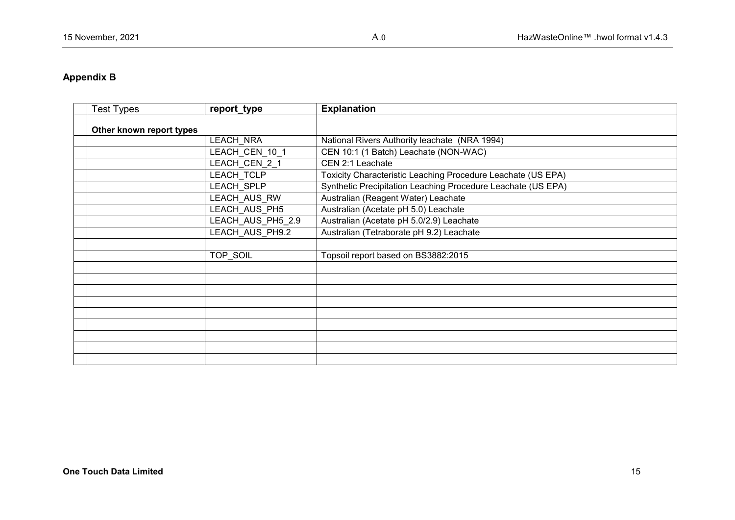# **Appendix B**

| <b>Test Types</b>        | report_type       | <b>Explanation</b>                                           |
|--------------------------|-------------------|--------------------------------------------------------------|
| Other known report types |                   |                                                              |
|                          | <b>LEACH NRA</b>  | National Rivers Authority leachate (NRA 1994)                |
|                          | LEACH_CEN_10_1    | CEN 10:1 (1 Batch) Leachate (NON-WAC)                        |
|                          | LEACH CEN 2 1     | CEN 2:1 Leachate                                             |
|                          | LEACH_TCLP        | Toxicity Characteristic Leaching Procedure Leachate (US EPA) |
|                          | LEACH_SPLP        | Synthetic Precipitation Leaching Procedure Leachate (US EPA) |
|                          | LEACH_AUS_RW      | Australian (Reagent Water) Leachate                          |
|                          | LEACH_AUS_PH5     | Australian (Acetate pH 5.0) Leachate                         |
|                          | LEACH_AUS_PH5_2.9 | Australian (Acetate pH 5.0/2.9) Leachate                     |
|                          | LEACH_AUS_PH9.2   | Australian (Tetraborate pH 9.2) Leachate                     |
|                          |                   |                                                              |
|                          | <b>TOP SOIL</b>   | Topsoil report based on BS3882:2015                          |
|                          |                   |                                                              |
|                          |                   |                                                              |
|                          |                   |                                                              |
|                          |                   |                                                              |
|                          |                   |                                                              |
|                          |                   |                                                              |
|                          |                   |                                                              |
|                          |                   |                                                              |
|                          |                   |                                                              |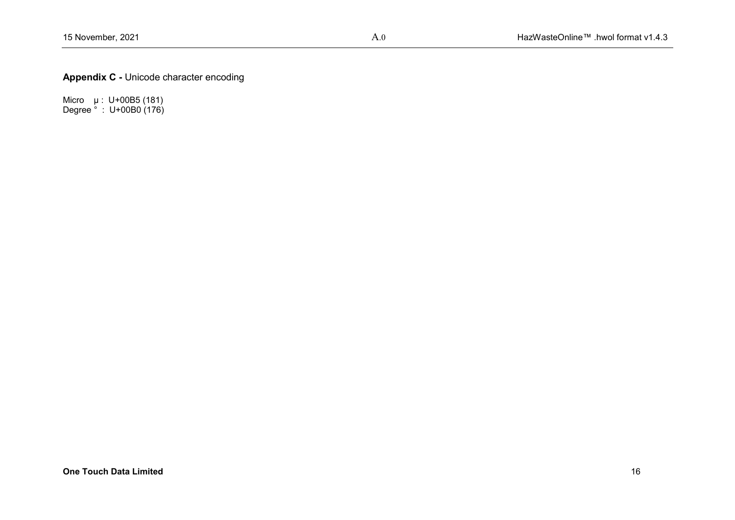**Appendix C -** Unicode character encoding

Micro  $\mu$ : U+00B5 (181) Degree ° : U+00B0 (176)